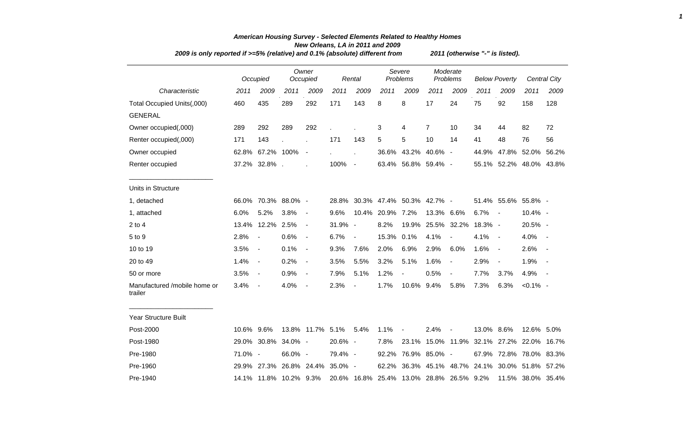|                                         | 2009 is only reported if >=5% (relative) and 0.1% (absolute) different from |                          |         |                          |         |                |       |                                          |                      | 2011 (otherwise "-" is listed). |                      |                |                         |              |  |
|-----------------------------------------|-----------------------------------------------------------------------------|--------------------------|---------|--------------------------|---------|----------------|-------|------------------------------------------|----------------------|---------------------------------|----------------------|----------------|-------------------------|--------------|--|
|                                         |                                                                             | Occupied                 |         | Owner<br>Occupied        |         | Rental         |       | Severe<br>Problems                       | Moderate<br>Problems |                                 | <b>Below Poverty</b> |                |                         | Central City |  |
| Characteristic                          | 2011                                                                        | 2009                     | 2011    | 2009                     | 2011    | 2009           | 2011  | 2009                                     | 2011                 | 2009                            | 2011                 | 2009           | 2011                    | 2009         |  |
| Total Occupied Units(,000)              | 460                                                                         | 435                      | 289     | 292                      | 171     | 143            | 8     | 8                                        | 17                   | 24                              | 75                   | 92             | 158                     | 128          |  |
| <b>GENERAL</b>                          |                                                                             |                          |         |                          |         |                |       |                                          |                      |                                 |                      |                |                         |              |  |
| Owner occupied(,000)                    | 289                                                                         | 292                      | 289     | 292                      |         |                | 3     | 4                                        | $\overline{7}$       | 10                              | 34                   | 44             | 82                      | 72           |  |
| Renter occupied(,000)                   | 171                                                                         | 143                      |         |                          | 171     | 143            | 5     | $\sqrt{5}$                               | 10                   | 14                              | 41                   | 48             | 76                      | 56           |  |
| Owner occupied                          |                                                                             | 62.8% 67.2% 100%         |         | $\blacksquare$           |         | Ĭ.             | 36.6% | 43.2%                                    | 40.6% -              |                                 | 44.9%                |                | 47.8% 52.0%             | 56.2%        |  |
| Renter occupied                         |                                                                             | 37.2% 32.8%.             |         |                          | 100%    | $\blacksquare$ |       | 63.4% 56.8% 59.4% -                      |                      |                                 |                      |                | 55.1% 52.2% 48.0% 43.8% |              |  |
| Units in Structure                      |                                                                             |                          |         |                          |         |                |       |                                          |                      |                                 |                      |                |                         |              |  |
| 1, detached                             |                                                                             | 66.0% 70.3% 88.0% -      |         |                          |         |                |       | 28.8% 30.3% 47.4% 50.3% 42.7% -          |                      |                                 |                      |                | 51.4% 55.6% 55.8% -     |              |  |
| 1, attached                             | 6.0%                                                                        | 5.2%                     | 3.8%    | $\blacksquare$           | 9.6%    | 10.4%          | 20.9% | 7.2%                                     | 13.3% 6.6%           |                                 | 6.7%                 | $\sim$         | $10.4\%$ -              |              |  |
| $2$ to 4                                | 13.4%                                                                       | 12.2% 2.5%               |         | $\blacksquare$           | 31.9% - |                | 8.2%  | 19.9%                                    |                      | 25.5% 32.2%                     | 18.3% -              |                | 20.5% -                 |              |  |
| 5 to 9                                  | 2.8%                                                                        | $\overline{\phantom{a}}$ | 0.6%    | $\overline{\phantom{a}}$ | 6.7%    | $\blacksquare$ | 15.3% | 0.1%                                     | 4.1%                 | $\blacksquare$                  | 4.1%                 | $\sim$         | 4.0%                    |              |  |
| 10 to 19                                | 3.5%                                                                        | $\blacksquare$           | 0.1%    | $\blacksquare$           | 9.3%    | 7.6%           | 2.0%  | 6.9%                                     | 2.9%                 | 6.0%                            | 1.6%                 | $\sim$         | 2.6%                    | $\sim$       |  |
| 20 to 49                                | 1.4%                                                                        | $\overline{\phantom{a}}$ | 0.2%    | $\overline{\phantom{a}}$ | 3.5%    | 5.5%           | 3.2%  | 5.1%                                     | 1.6%                 | $\overline{\phantom{a}}$        | 2.9%                 | $\blacksquare$ | 1.9%                    |              |  |
| 50 or more                              | 3.5%                                                                        | $\blacksquare$           | 0.9%    | $\blacksquare$           | 7.9%    | 5.1%           | 1.2%  | $\frac{1}{2}$                            | 0.5%                 | $\overline{\phantom{a}}$        | 7.7%                 | 3.7%           | 4.9%                    | $\sim$ $-$   |  |
| Manufactured /mobile home or<br>trailer | 3.4%                                                                        | $\blacksquare$           | 4.0%    | $\blacksquare$           | 2.3%    | $\blacksquare$ | 1.7%  | 10.6%                                    | 9.4%                 | 5.8%                            | 7.3%                 | 6.3%           | $< 0.1\%$ -             |              |  |
| Year Structure Built                    |                                                                             |                          |         |                          |         |                |       |                                          |                      |                                 |                      |                |                         |              |  |
| Post-2000                               | 10.6% 9.6%                                                                  |                          |         | 13.8% 11.7% 5.1%         |         | 5.4%           | 1.1%  | $\overline{\phantom{a}}$                 | 2.4%                 | $\overline{\phantom{a}}$        | 13.0% 8.6%           |                | 12.6% 5.0%              |              |  |
| Post-1980                               |                                                                             | 29.0% 30.8% 34.0% -      |         |                          | 20.6% - |                | 7.8%  | 23.1%                                    |                      | 15.0% 11.9%                     |                      |                | 32.1% 27.2% 22.0% 16.7% |              |  |
| Pre-1980                                | 71.0% -                                                                     |                          | 66.0% - |                          | 79.4% - |                | 92.2% | 76.9%                                    | 85.0% -              |                                 |                      |                | 67.9% 72.8% 78.0% 83.3% |              |  |
| Pre-1960                                |                                                                             | 29.9% 27.3% 26.8% 24.4%  |         |                          | 35.0% - |                | 62.2% | 36.3%                                    | 45.1%                | 48.7%                           | 24.1%                |                | 30.0% 51.8% 57.2%       |              |  |
| Pre-1940                                |                                                                             | 14.1% 11.8% 10.2% 9.3%   |         |                          |         |                |       | 20.6% 16.8% 25.4% 13.0% 28.8% 26.5% 9.2% |                      |                                 |                      |                | 11.5% 38.0% 35.4%       |              |  |

## *American Housing Survey - Selected Elements Related to Healthy Homes New Orleans, LA in 2011 and 2009*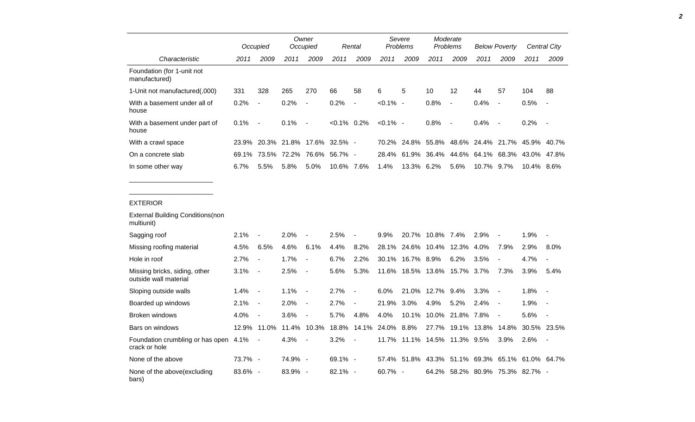|                                             |         | Occupied                 |             | Owner<br>Occupied        |                | Rental         |             | Severe<br><b>Problems</b> |                                                 | Moderate<br><b>Problems</b> |            | <b>Below Poverty</b>          |            | Central City |
|---------------------------------------------|---------|--------------------------|-------------|--------------------------|----------------|----------------|-------------|---------------------------|-------------------------------------------------|-----------------------------|------------|-------------------------------|------------|--------------|
| Characteristic                              | 2011    | 2009                     | 2011        | 2009                     | 2011           | 2009           | 2011        | 2009                      | 2011                                            | 2009                        | 2011       | 2009                          | 2011       | 2009         |
| Foundation (for 1-unit not<br>manufactured) |         |                          |             |                          |                |                |             |                           |                                                 |                             |            |                               |            |              |
| 1-Unit not manufactured(,000)               | 331     | 328                      | 265         | 270                      | 66             | 58             | 6           | 5                         | 10                                              | 12                          | 44         | 57                            | 104        | 88           |
| With a basement under all of<br>house       | 0.2%    | $\overline{\phantom{a}}$ | 0.2%        | $\overline{\phantom{a}}$ | 0.2%           | $\blacksquare$ | $< 0.1\%$ - |                           | 0.8%                                            | $\blacksquare$              | 0.4%       | $\blacksquare$                | 0.5%       | $\sim$       |
| With a basement under part of<br>house      | 0.1%    | $\overline{\phantom{a}}$ | 0.1%        | $\overline{\phantom{a}}$ | $< 0.1\%$ 0.2% |                | $< 0.1\%$ - |                           | 0.8%                                            | $\sim$                      | 0.4%       | $\sim$                        | 0.2%       | $\sim$       |
| With a crawl space                          | 23.9%   |                          | 20.3% 21.8% | 17.6%                    | $32.5\%$ -     |                | 70.2%       | 24.8%                     |                                                 |                             |            | 55.8% 48.6% 24.4% 21.7% 45.9% |            | 40.7%        |
| On a concrete slab                          | 69.1%   |                          |             | 73.5% 72.2% 76.6%        | 56.7% -        |                |             |                           | 28.4% 61.9% 36.4% 44.6% 64.1% 68.3% 43.0% 47.8% |                             |            |                               |            |              |
| In some other way                           | $6.7\%$ | 5.5%                     | 5.8%        | 5.0%                     | 10.6% 7.6%     |                | $1.4\%$     | 13.3% 6.2%                |                                                 | 5.6%                        | 10.7% 9.7% |                               | 10.4% 8.6% |              |

## EXTERIOR

| <b>External Building Conditions (non</b><br>multiunit) |         |                          |         |                          |            |        |            |                              |            |                  |                   |                          |                                 |                          |
|--------------------------------------------------------|---------|--------------------------|---------|--------------------------|------------|--------|------------|------------------------------|------------|------------------|-------------------|--------------------------|---------------------------------|--------------------------|
| Sagging roof                                           | 2.1%    | $\blacksquare$           | 2.0%    | $\overline{\phantom{a}}$ | 2.5%       |        | 9.9%       | 20.7%                        | 10.8% 7.4% |                  | 2.9%              | $\blacksquare$           | 1.9%                            | $\overline{\phantom{a}}$ |
| Missing roofing material                               | 4.5%    | 6.5%                     | 4.6%    | 6.1%                     | $4.4\%$    | 8.2%   | 28.1%      | 24.6%                        | 10.4%      | 12.3%            | 4.0%              | 7.9%                     | 2.9%                            | $8.0\%$                  |
| Hole in roof                                           | 2.7%    | $\overline{\phantom{a}}$ | 1.7%    | $\overline{\phantom{a}}$ | 6.7%       | 2.2%   | 30.1%      | 16.7% 8.9%                   |            | 6.2%             | 3.5%              | $\overline{\phantom{a}}$ | 4.7%                            | $\overline{\phantom{a}}$ |
| Missing bricks, siding, other<br>outside wall material | 3.1%    | $\overline{\phantom{a}}$ | 2.5%    | $\overline{\phantom{a}}$ | 5.6%       | 5.3%   | 11.6%      | 18.5%                        | 13.6%      | 15.7% 3.7%       |                   | 7.3%                     | 3.9%                            | 5.4%                     |
| Sloping outside walls                                  | 1.4%    | $\overline{\phantom{a}}$ | 1.1%    | $\overline{\phantom{a}}$ | 2.7%       | $\sim$ | 6.0%       | 21.0%                        | 12.7%      | $9.4\%$          | 3.3%              | $\overline{\phantom{a}}$ | $1.8\%$                         | $\overline{\phantom{a}}$ |
| Boarded up windows                                     | 2.1%    | $\overline{\phantom{a}}$ | 2.0%    | $\overline{\phantom{a}}$ | 2.7%       | $\sim$ | 21.9%      | 3.0%                         | 4.9%       | 5.2%             | $2.4\%$           | $\blacksquare$           | 1.9%                            | $\overline{\phantom{a}}$ |
| Broken windows                                         | 4.0%    | $\blacksquare$           | 3.6%    | $\overline{\phantom{a}}$ | 5.7%       | 4.8%   | 4.0%       | 10.1%                        |            | 10.0% 21.8% 7.8% |                   | $\blacksquare$           | 5.6%                            | $\overline{\phantom{a}}$ |
| Bars on windows                                        | 12.9%   | 11.0%                    | 11.4%   | 10.3%                    | 18.8%      | 14.1%  | 24.0%      | 8.8%                         | 27.7%      | 19.1%            | 13.8%             | 14.8%                    | 30.5%                           | 23.5%                    |
| Foundation crumbling or has open<br>crack or hole      | 4.1%    | $\blacksquare$           | 4.3%    | $\overline{\phantom{a}}$ | 3.2%       | $\sim$ |            | 11.7% 11.1% 14.5% 11.3% 9.5% |            |                  |                   | 3.9%                     | 2.6%                            | $\overline{\phantom{a}}$ |
| None of the above                                      | 73.7% - |                          | 74.9% - |                          | $69.1\% -$ |        | 57.4%      | 51.8%                        | 43.3%      |                  | 51.1% 69.3% 65.1% |                          | 61.0%                           | 64.7%                    |
| None of the above (excluding<br>bars)                  | 83.6% - |                          | 83.9% - |                          | $82.1\% -$ |        | $60.7\%$ - |                              |            |                  |                   |                          | 64.2% 58.2% 80.9% 75.3% 82.7% - |                          |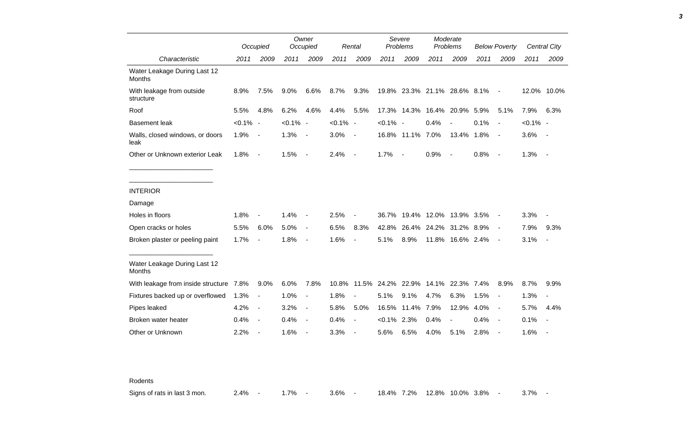|                                               |             | Occupied                 |             | Owner<br>Occupied        |             | Rental                   |             | Severe<br>Problems                 |                        | Moderate<br>Problems     |      | <b>Below Poverty</b>     |             | <b>Central City</b>      |
|-----------------------------------------------|-------------|--------------------------|-------------|--------------------------|-------------|--------------------------|-------------|------------------------------------|------------------------|--------------------------|------|--------------------------|-------------|--------------------------|
| Characteristic                                | 2011        | 2009                     | 2011        | 2009                     | 2011        | 2009                     | 2011        | 2009                               | 2011                   | 2009                     | 2011 | 2009                     | 2011        | 2009                     |
| Water Leakage During Last 12<br><b>Months</b> |             |                          |             |                          |             |                          |             |                                    |                        |                          |      |                          |             |                          |
| With leakage from outside<br>structure        | 8.9%        | 7.5%                     | 9.0%        | 6.6%                     | 8.7%        | 9.3%                     |             | 19.8% 23.3% 21.1% 28.6% 8.1%       |                        |                          |      | $\blacksquare$           | 12.0%       | 10.0%                    |
| Roof                                          | 5.5%        | 4.8%                     | 6.2%        | 4.6%                     | 4.4%        | 5.5%                     | 17.3%       | 14.3%                              | 16.4%                  | 20.9%                    | 5.9% | 5.1%                     | 7.9%        | 6.3%                     |
| <b>Basement leak</b>                          | $< 0.1\%$ - |                          | $< 0.1\%$ - |                          | $< 0.1\%$ - |                          | $< 0.1\%$ - |                                    | 0.4%                   |                          | 0.1% | $\blacksquare$           | $< 0.1\%$ - |                          |
| Walls, closed windows, or doors<br>leak       | 1.9%        | $\overline{\phantom{a}}$ | 1.3%        | $\overline{\phantom{a}}$ | 3.0%        | $\blacksquare$           |             | 16.8% 11.1% 7.0%                   |                        | 13.4% 1.8%               |      | $\overline{\phantom{a}}$ | 3.6%        | $\overline{\phantom{a}}$ |
| Other or Unknown exterior Leak                | 1.8%        | $\blacksquare$           | 1.5%        | $\overline{\phantom{a}}$ | 2.4%        | $\overline{\phantom{a}}$ | 1.7%        | $\overline{\phantom{a}}$           | 0.9%                   | $\overline{\phantom{a}}$ | 0.8% | $\overline{\phantom{a}}$ | 1.3%        | $\overline{\phantom{a}}$ |
|                                               |             |                          |             |                          |             |                          |             |                                    |                        |                          |      |                          |             |                          |
| <b>INTERIOR</b>                               |             |                          |             |                          |             |                          |             |                                    |                        |                          |      |                          |             |                          |
| Damage                                        |             |                          |             |                          |             |                          |             |                                    |                        |                          |      |                          |             |                          |
| Holes in floors                               | 1.8%        |                          | 1.4%        |                          | 2.5%        |                          | 36.7%       |                                    | 19.4% 12.0% 13.9% 3.5% |                          |      | $\blacksquare$           | 3.3%        |                          |
| Open cracks or holes                          | 5.5%        | 6.0%                     | 5.0%        | $\blacksquare$           | 6.5%        | 8.3%                     | 42.8%       |                                    | 26.4% 24.2% 31.2% 8.9% |                          |      | $\blacksquare$           | 7.9%        | 9.3%                     |
| Broken plaster or peeling paint               | 1.7%        |                          | 1.8%        | $\overline{\phantom{a}}$ | 1.6%        | $\blacksquare$           | 5.1%        | 8.9%                               |                        | 11.8% 16.6% 2.4%         |      | $\overline{\phantom{a}}$ | 3.1%        | $\overline{\phantom{a}}$ |
| Water Leakage During Last 12<br><b>Months</b> |             |                          |             |                          |             |                          |             |                                    |                        |                          |      |                          |             |                          |
| With leakage from inside structure 7.8%       |             | 9.0%                     | 6.0%        | 7.8%                     | 10.8%       |                          |             | 11.5% 24.2% 22.9% 14.1% 22.3% 7.4% |                        |                          |      | 8.9%                     | 8.7%        | 9.9%                     |
| Fixtures backed up or overflowed              | 1.3%        | $\overline{\phantom{a}}$ | 1.0%        | $\blacksquare$           | 1.8%        |                          | 5.1%        | 9.1%                               | 4.7%                   | 6.3%                     | 1.5% | $\overline{a}$           | 1.3%        |                          |
| Pipes leaked                                  | 4.2%        | $\overline{\phantom{a}}$ | 3.2%        | $\blacksquare$           | 5.8%        | 5.0%                     | 16.5%       | 11.4%                              | 7.9%                   | 12.9%                    | 4.0% | $\blacksquare$           | 5.7%        | 4.4%                     |
| Broken water heater                           | 0.4%        | $\overline{\phantom{a}}$ | 0.4%        | $\overline{\phantom{a}}$ | 0.4%        |                          | $< 0.1\%$   | 2.3%                               | 0.4%                   |                          | 0.4% | $\blacksquare$           | 0.1%        |                          |
| Other or Unknown                              | 2.2%        |                          | 1.6%        |                          | 3.3%        |                          | 5.6%        | 6.5%                               | 4.0%                   | 5.1%                     | 2.8% | $\blacksquare$           | 1.6%        |                          |

Rodents

Signs of rats in last 3 mon. 2.4% - 1.7% - 3.6% - 18.4% 7.2% 12.8% 10.0% 3.8% - 3.7% -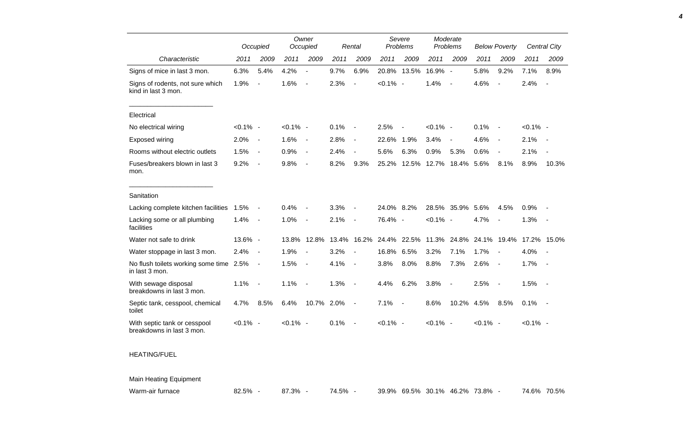|                                                           |             | Occupied                 |             | Owner<br>Occupied            |       | Rental                   |             | Severe<br>Problems |             | Moderate<br>Problems     |             | <b>Below Poverty</b>     |             | <b>Central City</b>      |
|-----------------------------------------------------------|-------------|--------------------------|-------------|------------------------------|-------|--------------------------|-------------|--------------------|-------------|--------------------------|-------------|--------------------------|-------------|--------------------------|
| Characteristic                                            | 2011        | 2009                     | 2011        | 2009                         | 2011  | 2009                     | 2011        | 2009               | 2011        | 2009                     | 2011        | 2009                     | 2011        | 2009                     |
| Signs of mice in last 3 mon.                              | 6.3%        | 5.4%                     | 4.2%        | $\blacksquare$               | 9.7%  | 6.9%                     | 20.8%       | 13.5%              | 16.9% -     |                          | 5.8%        | 9.2%                     | 7.1%        | 8.9%                     |
| Signs of rodents, not sure which<br>kind in last 3 mon.   | 1.9%        | $\overline{\phantom{a}}$ | 1.6%        | $\overline{\phantom{a}}$     | 2.3%  | $\sim$                   | $< 0.1\%$ - |                    | 1.4%        | $\overline{\phantom{a}}$ | 4.6%        | $\blacksquare$           | 2.4%        | $\overline{\phantom{a}}$ |
| Electrical                                                |             |                          |             |                              |       |                          |             |                    |             |                          |             |                          |             |                          |
| No electrical wiring                                      | $< 0.1\%$ - |                          | $< 0.1\%$ - |                              | 0.1%  | $\overline{\phantom{a}}$ | 2.5%        |                    | $< 0.1\%$ - |                          | 0.1%        | $\overline{\phantom{a}}$ | $< 0.1\%$ - |                          |
| <b>Exposed wiring</b>                                     | 2.0%        | $\overline{a}$           | 1.6%        | $\overline{\phantom{a}}$     | 2.8%  | $\overline{\phantom{a}}$ | 22.6%       | 1.9%               | 3.4%        | $\overline{\phantom{a}}$ | 4.6%        | $\overline{\phantom{a}}$ | 2.1%        | $\sim$                   |
| Rooms without electric outlets                            | 1.5%        | $\overline{\phantom{a}}$ | 0.9%        | $\qquad \qquad \blacksquare$ | 2.4%  | $\overline{a}$           | 5.6%        | 6.3%               | 0.9%        | 5.3%                     | 0.6%        | $\blacksquare$           | 2.1%        |                          |
| Fuses/breakers blown in last 3<br>mon.                    | 9.2%        | $\blacksquare$           | 9.8%        | $\overline{\phantom{a}}$     | 8.2%  | 9.3%                     | 25.2%       | 12.5%              | 12.7%       | 18.4%                    | 5.6%        | 8.1%                     | 8.9%        | 10.3%                    |
| Sanitation                                                |             |                          |             |                              |       |                          |             |                    |             |                          |             |                          |             |                          |
| Lacking complete kitchen facilities                       | 1.5%        |                          | 0.4%        |                              | 3.3%  | $\overline{\phantom{a}}$ | 24.0%       | 8.2%               | 28.5%       | 35.9%                    | 5.6%        | 4.5%                     | 0.9%        |                          |
| Lacking some or all plumbing<br>facilities                | 1.4%        | $\overline{\phantom{a}}$ | 1.0%        | $\overline{\phantom{a}}$     | 2.1%  | $\blacksquare$           | 76.4% -     |                    | $< 0.1\%$ - |                          | 4.7%        | $\overline{\phantom{a}}$ | 1.3%        | $\sim$                   |
| Water not safe to drink                                   | 13.6% -     |                          | 13.8%       | 12.8%                        | 13.4% | 16.2%                    | 24.4%       | 22.5%              | 11.3%       | 24.8%                    |             | 24.1% 19.4%              |             | 17.2% 15.0%              |
| Water stoppage in last 3 mon.                             | 2.4%        | $\blacksquare$           | 1.9%        |                              | 3.2%  |                          | 16.8%       | 6.5%               | 3.2%        | 7.1%                     | 1.7%        | $\overline{\phantom{a}}$ | 4.0%        |                          |
| No flush toilets working some time 2.5%<br>in last 3 mon. |             | $\overline{\phantom{a}}$ | 1.5%        | $\overline{\phantom{a}}$     | 4.1%  | $\overline{\phantom{a}}$ | 3.8%        | 8.0%               | 8.8%        | 7.3%                     | 2.6%        | $\overline{\phantom{a}}$ | 1.7%        | $\sim$                   |
| With sewage disposal<br>breakdowns in last 3 mon.         | 1.1%        | $\overline{a}$           | 1.1%        | $\overline{\phantom{a}}$     | 1.3%  | $\blacksquare$           | 4.4%        | 6.2%               | 3.8%        | $\blacksquare$           | 2.5%        | $\overline{\phantom{a}}$ | 1.5%        | $\sim$                   |
| Septic tank, cesspool, chemical<br>toilet                 | 4.7%        | 8.5%                     | 6.4%        | 10.7%                        | 2.0%  | $\overline{\phantom{a}}$ | 7.1%        | $\blacksquare$     | 8.6%        | 10.2%                    | 4.5%        | 8.5%                     | 0.1%        |                          |
| With septic tank or cesspool<br>breakdowns in last 3 mon. | $< 0.1\%$ - |                          | $< 0.1\%$ - |                              | 0.1%  | $\blacksquare$           | $< 0.1\%$ - |                    | $< 0.1\%$ - |                          | $< 0.1\%$ - |                          | $< 0.1\%$ - |                          |

## HEATING/FUEL

## Main Heating Equipment

| Warm-air furnace |  |
|------------------|--|
|                  |  |

Warm-air furnace 82.5% - 87.3% - 74.5% - 39.9% 69.5% 30.1% 46.2% 73.8% - 74.6% 70.5%

*4*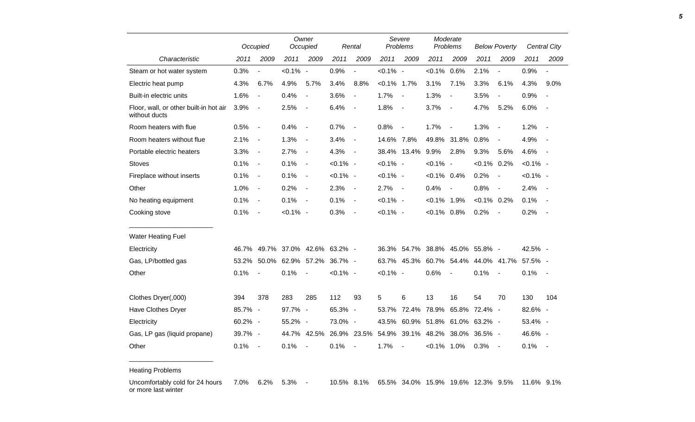|                                                         |         | Occupied                 | Owner<br>Occupied         |                          | Rental      |                          | Severe<br>Problems |                          | Moderate<br>Problems |                          | <b>Below Poverty</b>    |                          | <b>Central City</b> |                          |
|---------------------------------------------------------|---------|--------------------------|---------------------------|--------------------------|-------------|--------------------------|--------------------|--------------------------|----------------------|--------------------------|-------------------------|--------------------------|---------------------|--------------------------|
| Characteristic                                          | 2011    | 2009                     | 2011                      | 2009                     | 2011        | 2009                     | 2011               | 2009                     | 2011                 | 2009                     | 2011                    | 2009                     | 2011                | 2009                     |
| Steam or hot water system                               | 0.3%    |                          | $< 0.1\%$ -               |                          | 0.9%        | $\overline{a}$           | $< 0.1\%$ -        |                          | $< 0.1\%$            | 0.6%                     | 2.1%                    | $\blacksquare$           | 0.9%                |                          |
| Electric heat pump                                      | 4.3%    | 6.7%                     | 4.9%                      | 5.7%                     | 3.4%        | 8.8%                     | $< 0.1\%$ 1.7%     |                          | 3.1%                 | 7.1%                     | 3.3%                    | 6.1%                     | 4.3%                | 9.0%                     |
| Built-in electric units                                 | 1.6%    | $\blacksquare$           | 0.4%                      | $\overline{\phantom{a}}$ | 3.6%        | $\overline{\phantom{a}}$ | 1.7%               | $\blacksquare$           | 1.3%                 | $\overline{\phantom{a}}$ | 3.5%                    |                          | 0.9%                |                          |
| Floor, wall, or other built-in hot air<br>without ducts | 3.9%    | $\blacksquare$           | 2.5%                      | $\overline{\phantom{a}}$ | 6.4%        | $\overline{\phantom{a}}$ | 1.8%               | $\overline{\phantom{a}}$ | 3.7%                 | $\overline{\phantom{a}}$ | 4.7%                    | 5.2%                     | 6.0%                | $\overline{\phantom{a}}$ |
| Room heaters with flue                                  | 0.5%    | $\overline{\phantom{a}}$ | 0.4%                      | $\overline{\phantom{a}}$ | 0.7%        | $\blacksquare$           | 0.8%               | $\blacksquare$           | 1.7%                 | $\overline{\phantom{a}}$ | 1.3%                    | $\overline{\phantom{a}}$ | 1.2%                | $\sim$                   |
| Room heaters without flue                               | 2.1%    | $\overline{\phantom{a}}$ | 1.3%                      | $\blacksquare$           | 3.4%        | $\blacksquare$           | 14.6% 7.8%         |                          |                      | 49.8% 31.8%              | 0.8%                    |                          | 4.9%                |                          |
| Portable electric heaters                               | 3.3%    | $\overline{\phantom{a}}$ | 2.7%                      | $\blacksquare$           | 4.3%        | $\overline{\phantom{a}}$ |                    | 38.4% 13.4%              | 9.9%                 | 2.8%                     | 9.3%                    | 5.6%                     | 4.6%                | $\sim$                   |
| <b>Stoves</b>                                           | 0.1%    | $\overline{\phantom{a}}$ | 0.1%                      | $\blacksquare$           | $< 0.1\%$ - |                          | $< 0.1\%$ -        |                          | $< 0.1\%$ -          |                          | $< 0.1\%$ 0.2%          |                          | $< 0.1\%$ -         |                          |
| Fireplace without inserts                               | 0.1%    | $\overline{\phantom{a}}$ | 0.1%                      | $\overline{\phantom{a}}$ | $< 0.1\%$ - |                          | $< 0.1\%$ -        |                          | $< 0.1\%$ 0.4%       |                          | 0.2%                    | $\sim$                   | $< 0.1\%$ -         |                          |
| Other                                                   | 1.0%    | $\blacksquare$           | 0.2%                      | $\blacksquare$           | 2.3%        | $\blacksquare$           | 2.7%               | $\sim$                   | 0.4%                 | $\sim$                   | 0.8%                    | $\sim$                   | 2.4%                | $\sim$                   |
| No heating equipment                                    | 0.1%    | $\overline{\phantom{a}}$ | 0.1%                      | $\overline{\phantom{a}}$ | 0.1%        | $\blacksquare$           | $< 0.1\%$ -        |                          | $< 0.1\%$ 1.9%       |                          | $< 0.1\%$ 0.2%          |                          | 0.1%                |                          |
| Cooking stove                                           | 0.1%    | $\overline{\phantom{a}}$ | $< 0.1\%$ -               |                          | 0.3%        | $\blacksquare$           | $< 0.1\%$ -        |                          | $< 0.1\%$ 0.8%       |                          | 0.2%                    | $\overline{\phantom{a}}$ | 0.2%                | $\overline{\phantom{a}}$ |
| <b>Water Heating Fuel</b>                               |         |                          |                           |                          |             |                          |                    |                          |                      |                          |                         |                          |                     |                          |
| Electricity                                             | 46.7%   |                          | 49.7% 37.0% 42.6% 63.2% - |                          |             |                          | 36.3%              | 54.7%                    | 38.8%                | 45.0%                    | 55.8% -                 |                          | 42.5% -             |                          |
| Gas, LP/bottled gas                                     | 53.2%   |                          | 50.0% 62.9% 57.2%         |                          | 36.7% -     |                          | 63.7%              | 45.3%                    |                      |                          | 60.7% 54.4% 44.0% 41.7% |                          | 57.5% -             |                          |
| Other                                                   | 0.1%    | $\overline{\phantom{a}}$ | 0.1%                      | $\overline{\phantom{a}}$ | $< 0.1\%$ - |                          | $< 0.1\%$ -        |                          | 0.6%                 | $\blacksquare$           | 0.1%                    | $\blacksquare$           | 0.1%                | $\sim$                   |
| Clothes Dryer(,000)                                     | 394     | 378                      | 283                       | 285                      | 112         | 93                       | 5                  | 6                        | 13                   | 16                       | 54                      | 70                       | 130                 | 104                      |
| Have Clothes Dryer                                      | 85.7% - |                          | 97.7% -                   |                          | 65.3% -     |                          | 53.7%              | 72.4%                    | 78.9%                | 65.8%                    | 72.4% -                 |                          | 82.6% -             |                          |
| Electricity                                             | 60.2% - |                          | 55.2% -                   |                          | 73.0% -     |                          | 43.5%              | 60.9%                    | 51.8%                | 61.0%                    | 63.2% -                 |                          | 53.4% -             |                          |
| Gas, LP gas (liquid propane)                            | 39.7% - |                          |                           | 44.7% 42.5%              |             | 26.9% 23.5%              | 54.9%              | 39.1%                    | 48.2%                | 38.0%                    | 36.5% -                 |                          | 46.6% -             |                          |
| Other                                                   | 0.1%    | $\overline{\phantom{a}}$ | 0.1%                      | $\overline{\phantom{a}}$ | 0.1%        | $\overline{\phantom{a}}$ | 1.7%               | $\overline{\phantom{a}}$ | $< 0.1\%$ 1.0%       |                          | 0.3%                    | $\sim$                   | 0.1%                | $\sim$                   |

Heating Problems

\_\_\_\_\_\_\_\_\_\_\_\_\_\_\_\_\_\_\_\_\_\_\_

Uncomfortably cold for 24 hours or more last winter 7.0% 6.2% 5.3% - 10.5% 8.1% 65.5% 34.0% 15.9% 19.6% 12.3% 9.5% 11.6% 9.1%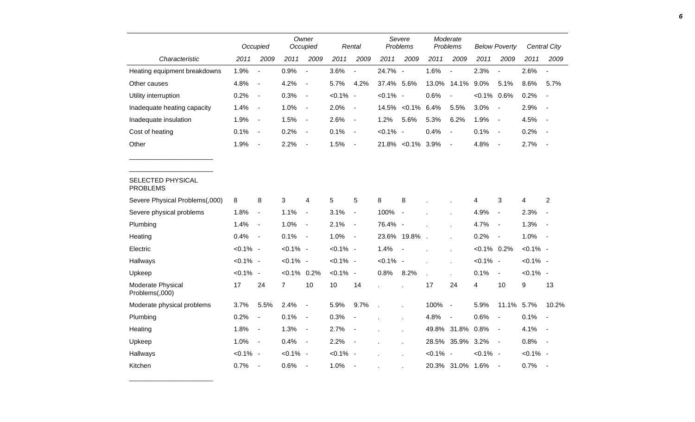|                                      | Occupied    |                          | Owner<br>Occupied |                          |             | Rental                   |             | Severe<br>Problems |             | Moderate<br>Problems |                | <b>Below Poverty</b>     |             | Central City             |
|--------------------------------------|-------------|--------------------------|-------------------|--------------------------|-------------|--------------------------|-------------|--------------------|-------------|----------------------|----------------|--------------------------|-------------|--------------------------|
| Characteristic                       | 2011        | 2009                     | 2011              | 2009                     | 2011        | 2009                     | 2011        | 2009               | 2011        | 2009                 | 2011           | 2009                     | 2011        | 2009                     |
| Heating equipment breakdowns         | 1.9%        | $\blacksquare$           | 0.9%              | $\overline{\phantom{a}}$ | 3.6%        | $\overline{a}$           | 24.7% -     |                    | 1.6%        | $\overline{a}$       | 2.3%           | $\blacksquare$           | 2.6%        | $\overline{\phantom{a}}$ |
| Other causes                         | 4.8%        | $\overline{\phantom{a}}$ | 4.2%              | $\blacksquare$           | 5.7%        | 4.2%                     | 37.4% 5.6%  |                    | 13.0%       | 14.1%                | 9.0%           | 5.1%                     | 8.6%        | 5.7%                     |
| Utility interruption                 | 0.2%        | $\overline{\phantom{a}}$ | 0.3%              | $\blacksquare$           | $< 0.1\%$ - |                          | $< 0.1\%$ - |                    | 0.6%        | $\blacksquare$       | $< 0.1\%$ 0.6% |                          | 0.2%        | $\blacksquare$           |
| Inadequate heating capacity          | 1.4%        | $\overline{\phantom{a}}$ | 1.0%              | $\overline{\phantom{a}}$ | 2.0%        | $\blacksquare$           | 14.5%       | $< 0.1\%$          | 6.4%        | 5.5%                 | 3.0%           | $\overline{\phantom{a}}$ | 2.9%        | $\overline{\phantom{a}}$ |
| Inadequate insulation                | 1.9%        | $\blacksquare$           | 1.5%              | $\blacksquare$           | 2.6%        | $\blacksquare$           | 1.2%        | 5.6%               | 5.3%        | 6.2%                 | 1.9%           | $\blacksquare$           | 4.5%        | $\overline{a}$           |
| Cost of heating                      | 0.1%        | $\blacksquare$           | 0.2%              | $\blacksquare$           | 0.1%        | $\blacksquare$           | $< 0.1\%$ - |                    | 0.4%        | $\blacksquare$       | 0.1%           | $\blacksquare$           | 0.2%        | $\overline{\phantom{a}}$ |
| Other                                | 1.9%        | $\overline{\phantom{a}}$ | 2.2%              | $\overline{\phantom{a}}$ | 1.5%        | $\blacksquare$           |             | 21.8% < 0.1% 3.9%  |             | $\blacksquare$       | 4.8%           | $\overline{\phantom{a}}$ | 2.7%        | $\sim$                   |
|                                      |             |                          |                   |                          |             |                          |             |                    |             |                      |                |                          |             |                          |
| SELECTED PHYSICAL<br><b>PROBLEMS</b> |             |                          |                   |                          |             |                          |             |                    |             |                      |                |                          |             |                          |
| Severe Physical Problems(,000)       | 8           | 8                        | 3                 | 4                        | 5           | 5                        | $\bf 8$     | 8                  |             |                      | 4              | 3                        | 4           | $\boldsymbol{2}$         |
| Severe physical problems             | 1.8%        | $\blacksquare$           | 1.1%              | $\blacksquare$           | 3.1%        | $\overline{\phantom{a}}$ | 100%        | $\blacksquare$     |             |                      | 4.9%           | $\blacksquare$           | 2.3%        | $\overline{\phantom{a}}$ |
| Plumbing                             | 1.4%        | $\blacksquare$           | 1.0%              | $\blacksquare$           | 2.1%        | $\blacksquare$           | 76.4% -     |                    |             |                      | 4.7%           | $\blacksquare$           | 1.3%        | $\overline{\phantom{a}}$ |
| Heating                              | 0.4%        | $\overline{\phantom{a}}$ | 0.1%              | $\overline{\phantom{a}}$ | 1.0%        | $\blacksquare$           |             | 23.6% 19.8%        |             |                      | 0.2%           | $\blacksquare$           | 1.0%        | $\sim$                   |
| Electric                             | $< 0.1\%$ - |                          | $< 0.1\%$ -       |                          | $< 0.1\%$ - |                          | 1.4%        |                    |             |                      | $< 0.1\%$ 0.2% |                          | $< 0.1\%$ - |                          |
| Hallways                             | $< 0.1\%$ - |                          | $< 0.1\%$ -       |                          | $< 0.1\%$ - |                          | $< 0.1\%$ - |                    |             |                      | $< 0.1\%$ -    |                          | $< 0.1\%$ - |                          |
| Upkeep                               | $< 0.1\%$ - |                          | $< 0.1\%$ 0.2%    |                          | $< 0.1\%$ - |                          | 0.8%        | 8.2%               |             |                      | 0.1%           | $\blacksquare$           | $< 0.1\%$ - |                          |
| Moderate Physical<br>Problems(,000)  | 17          | 24                       | $\overline{7}$    | 10                       | 10          | 14                       |             |                    | 17          | 24                   | 4              | 10                       | 9           | 13                       |
| Moderate physical problems           | 3.7%        | 5.5%                     | 2.4%              | $\blacksquare$           | 5.9%        | 9.7%                     |             |                    | 100%        | $\blacksquare$       | 5.9%           | 11.1% 5.7%               |             | 10.2%                    |
| Plumbing                             | 0.2%        | $\blacksquare$           | 0.1%              | $\overline{\phantom{a}}$ | 0.3%        | $\blacksquare$           |             |                    | 4.8%        | $\blacksquare$       | 0.6%           | $\overline{\phantom{a}}$ | 0.1%        | $\overline{\phantom{a}}$ |
| Heating                              | 1.8%        | $\overline{\phantom{a}}$ | 1.3%              | $\blacksquare$           | 2.7%        | $\blacksquare$           |             |                    | 49.8%       | 31.8%                | 0.8%           | $\blacksquare$           | 4.1%        | $\sim$                   |
| Upkeep                               | 1.0%        | $\overline{\phantom{a}}$ | 0.4%              | $\blacksquare$           | 2.2%        | $\blacksquare$           |             |                    |             | 28.5% 35.9%          | 3.2%           | $\overline{\phantom{a}}$ | 0.8%        | $\sim$ $-$               |
| Hallways                             | $< 0.1\%$ - |                          | $< 0.1\%$ -       |                          | $< 0.1\%$ - |                          |             |                    | $< 0.1\%$ - |                      | $< 0.1\%$ -    |                          | $< 0.1\%$ - |                          |
| Kitchen                              | 0.7%        | $\overline{\phantom{a}}$ | 0.6%              | $\overline{\phantom{a}}$ | 1.0%        | $\overline{\phantom{a}}$ |             |                    |             | 20.3% 31.0%          | 1.6%           | $\overline{\phantom{a}}$ | 0.7%        | $\overline{a}$           |

\_\_\_\_\_\_\_\_\_\_\_\_\_\_\_\_\_\_\_\_\_\_\_